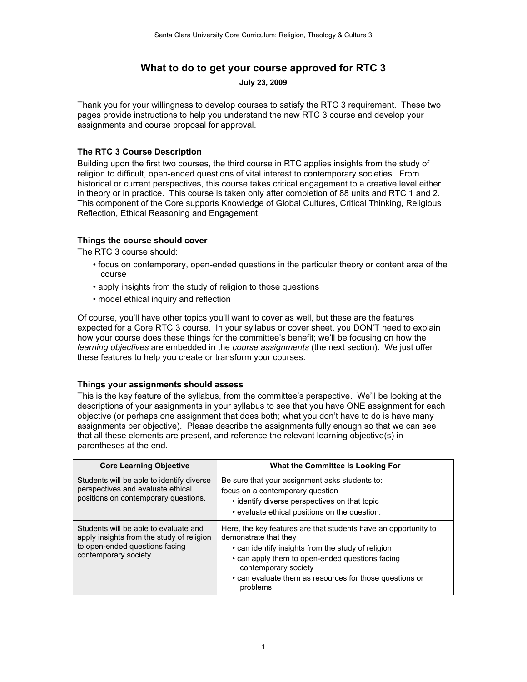# **What to do to get your course approved for RTC 3**

**July 23, 2009**

Thank you for your willingness to develop courses to satisfy the RTC 3 requirement. These two pages provide instructions to help you understand the new RTC 3 course and develop your assignments and course proposal for approval.

# **The RTC 3 Course Description**

Building upon the first two courses, the third course in RTC applies insights from the study of religion to difficult, open-ended questions of vital interest to contemporary societies. From historical or current perspectives, this course takes critical engagement to a creative level either in theory or in practice. This course is taken only after completion of 88 units and RTC 1 and 2. This component of the Core supports Knowledge of Global Cultures, Critical Thinking, Religious Reflection, Ethical Reasoning and Engagement.

### **Things the course should cover**

The RTC 3 course should:

- focus on contemporary, open-ended questions in the particular theory or content area of the course
- apply insights from the study of religion to those questions
- model ethical inquiry and reflection

Of course, you'll have other topics you'll want to cover as well, but these are the features expected for a Core RTC 3 course. In your syllabus or cover sheet, you DON'T need to explain how your course does these things for the committee's benefit; we'll be focusing on how the *learning objectives* are embedded in the *course assignments* (the next section). We just offer these features to help you create or transform your courses.

### **Things your assignments should assess**

This is the key feature of the syllabus, from the committee's perspective. We'll be looking at the descriptions of your assignments in your syllabus to see that you have ONE assignment for each objective (or perhaps one assignment that does both; what you don't have to do is have many assignments per objective). Please describe the assignments fully enough so that we can see that all these elements are present, and reference the relevant learning objective(s) in parentheses at the end.

| <b>Core Learning Objective</b>                                                                                                                | <b>What the Committee Is Looking For</b>                                                                                                                                                                                                                                                          |
|-----------------------------------------------------------------------------------------------------------------------------------------------|---------------------------------------------------------------------------------------------------------------------------------------------------------------------------------------------------------------------------------------------------------------------------------------------------|
| Students will be able to identify diverse<br>perspectives and evaluate ethical<br>positions on contemporary questions.                        | Be sure that your assignment asks students to:<br>focus on a contemporary question<br>• identify diverse perspectives on that topic<br>• evaluate ethical positions on the question.                                                                                                              |
| Students will be able to evaluate and<br>apply insights from the study of religion<br>to open-ended questions facing<br>contemporary society. | Here, the key features are that students have an opportunity to<br>demonstrate that they<br>• can identify insights from the study of religion<br>• can apply them to open-ended questions facing<br>contemporary society<br>• can evaluate them as resources for those questions or<br>problems. |